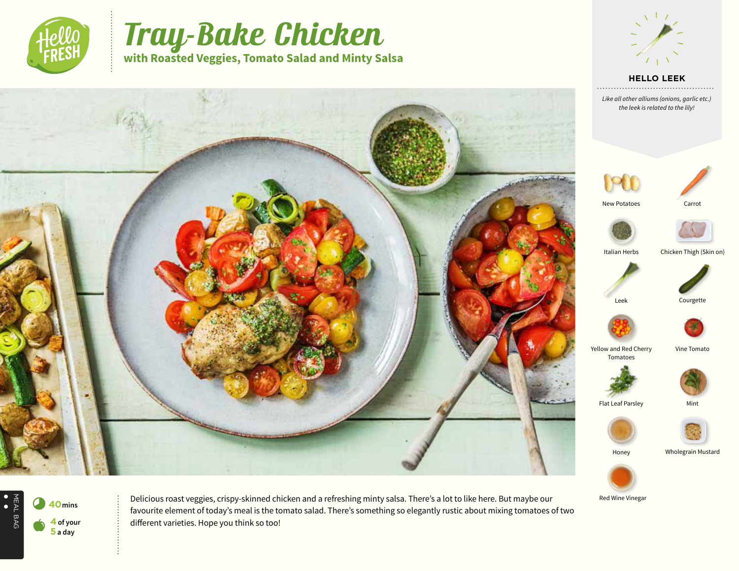

# Tray-Bake Chicken **with Roasted Veggies, Tomato Salad and Minty Salsa**

Carrot





NEAL BAG<br>
•<br>
• 8**<sup>40</sup>mins**

MEAL BAG

a **<sup>4</sup> of your 5 a day**

Delicious roast veggies, crispy-skinned chicken and a refreshing minty salsa. There's a lot to like here. But maybe our favourite element of today's meal is the tomato salad. There's something so elegantly rustic about mixing tomatoes of two different varieties. Hope you think so too!